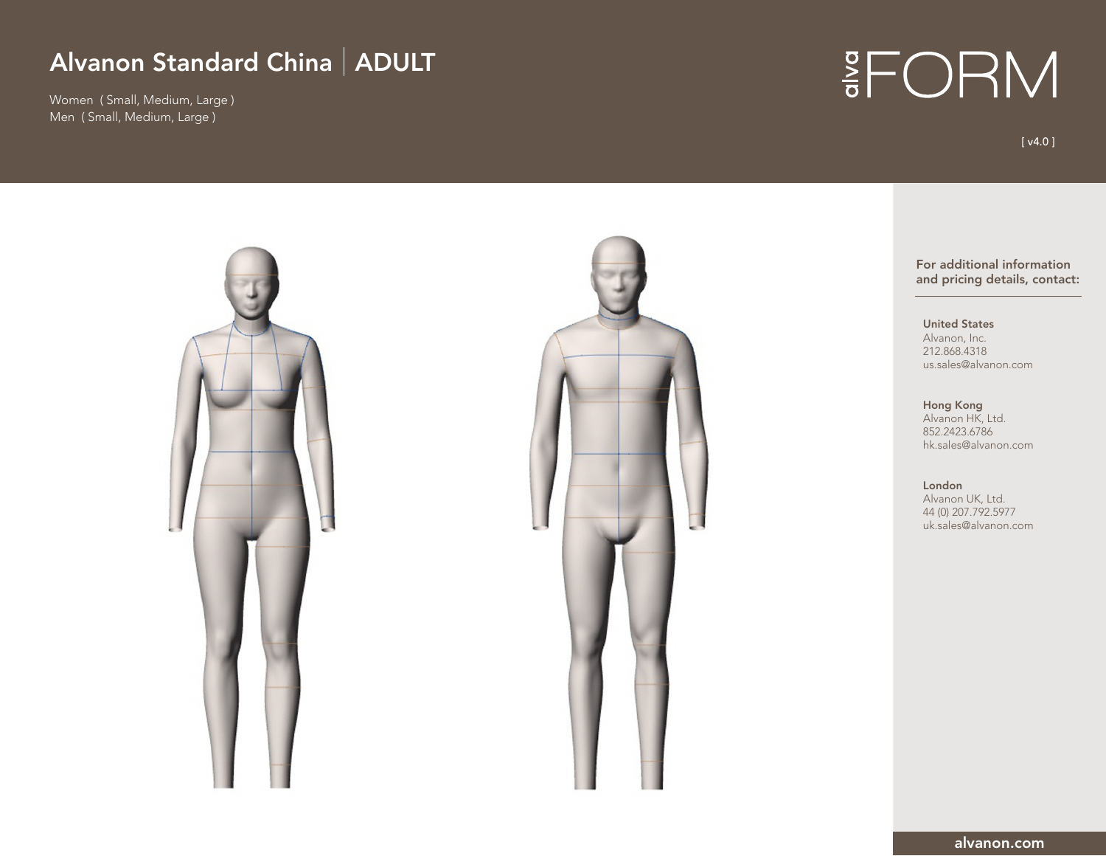Women ( Small, Medium, Large ) Men ( Small, Medium, Large )

# **IFORM**

[ v4.0 ]

For additional information and pricing details, contact:

United States Alvanon, Inc. 212.868.4318 us.sales@alvanon.com

Hong Kong Alvanon HK, Ltd. 852.2423.6786 hk.sales@alvanon.com

London Alvanon UK, Ltd. 44 (0) 207.792.5977 uk.sales@alvanon.com

alvanon.com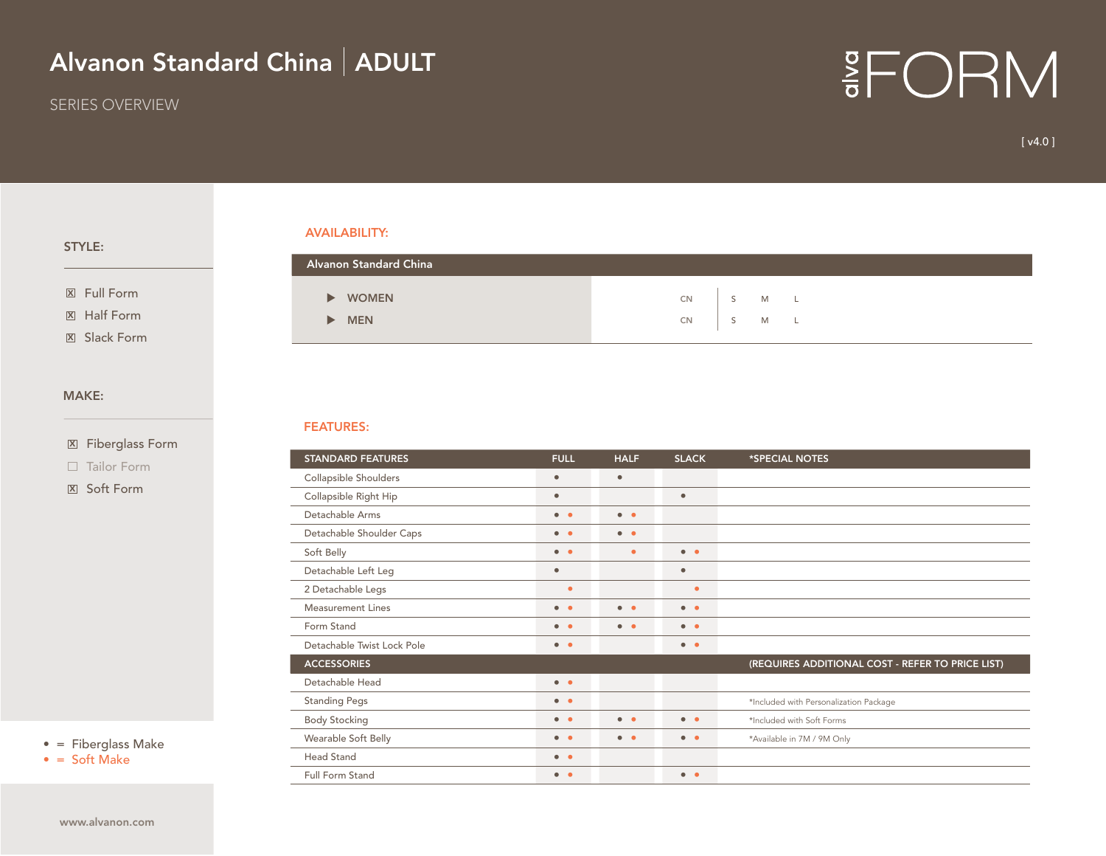SERIES OVERVIEW

## **EFORM**

[ v4.0 ]

#### STYLE:

<sup>X</sup> Full Form

Half Form X

**X** Slack Form

#### MAKE:

Fiberglass Form X

 $\Box$  Tailor Form

<sub>지 Soft Form</sub>

• = Fiberglass Make

 $\bullet$  = Soft Make

AVAILABILITY:

| Alvanon Standard China |          |  |       |  |
|------------------------|----------|--|-------|--|
|                        |          |  |       |  |
| <b>WOMEN</b>           | CN D     |  | S M L |  |
| <b>MEN</b>             | CN S M L |  |       |  |
|                        |          |  |       |  |

#### FEATURES:

| <b>STANDARD FEATURES</b>   | <b>FULL</b>           | <b>HALF</b>         | *SPECIAL NOTES      |                                                  |
|----------------------------|-----------------------|---------------------|---------------------|--------------------------------------------------|
| Collapsible Shoulders      | $\bullet$             | $\bullet$           |                     |                                                  |
| Collapsible Right Hip      | $\bullet$             |                     | $\bullet$           |                                                  |
| Detachable Arms            | $\bullet$ $\bullet$   | $\bullet$ $\bullet$ |                     |                                                  |
| Detachable Shoulder Caps   | $\bullet$ $\bullet$   | $\bullet$ $\bullet$ |                     |                                                  |
| Soft Belly                 | $\bullet$ $\bullet$   | $\bullet$           | $\bullet$ $\bullet$ |                                                  |
| Detachable Left Leg        | $\bullet$             |                     | $\bullet$           |                                                  |
| 2 Detachable Legs          | $\bullet$             |                     | $\bullet$           |                                                  |
| Measurement Lines          | $\bullet$ $\bullet$   | $\bullet$           | $\bullet$ $\bullet$ |                                                  |
| Form Stand                 | $\bullet$ $\bullet$   | $\bullet$           | $\bullet$ $\bullet$ |                                                  |
| Detachable Twist Lock Pole | $\bullet$ $\bullet$   |                     | $\bullet$ $\bullet$ |                                                  |
| <b>ACCESSORIES</b>         |                       |                     |                     | (REQUIRES ADDITIONAL COST - REFER TO PRICE LIST) |
| Detachable Head            | $\bullet\quad\bullet$ |                     |                     |                                                  |
| <b>Standing Pegs</b>       | $\bullet$ $\bullet$   |                     |                     | *Included with Personalization Package           |
| <b>Body Stocking</b>       | $\bullet$ $\bullet$   | $\bullet$ $\bullet$ | $\bullet$ $\bullet$ | *Included with Soft Forms                        |
| Wearable Soft Belly        | $\bullet$ $\bullet$   | $\bullet$ $\bullet$ | $\bullet$ $\bullet$ | *Available in 7M / 9M Only                       |
| Head Stand                 | $\bullet\quad\bullet$ |                     |                     |                                                  |
| <b>Full Form Stand</b>     | $\bullet$ $\bullet$   |                     | $\bullet$ $\bullet$ |                                                  |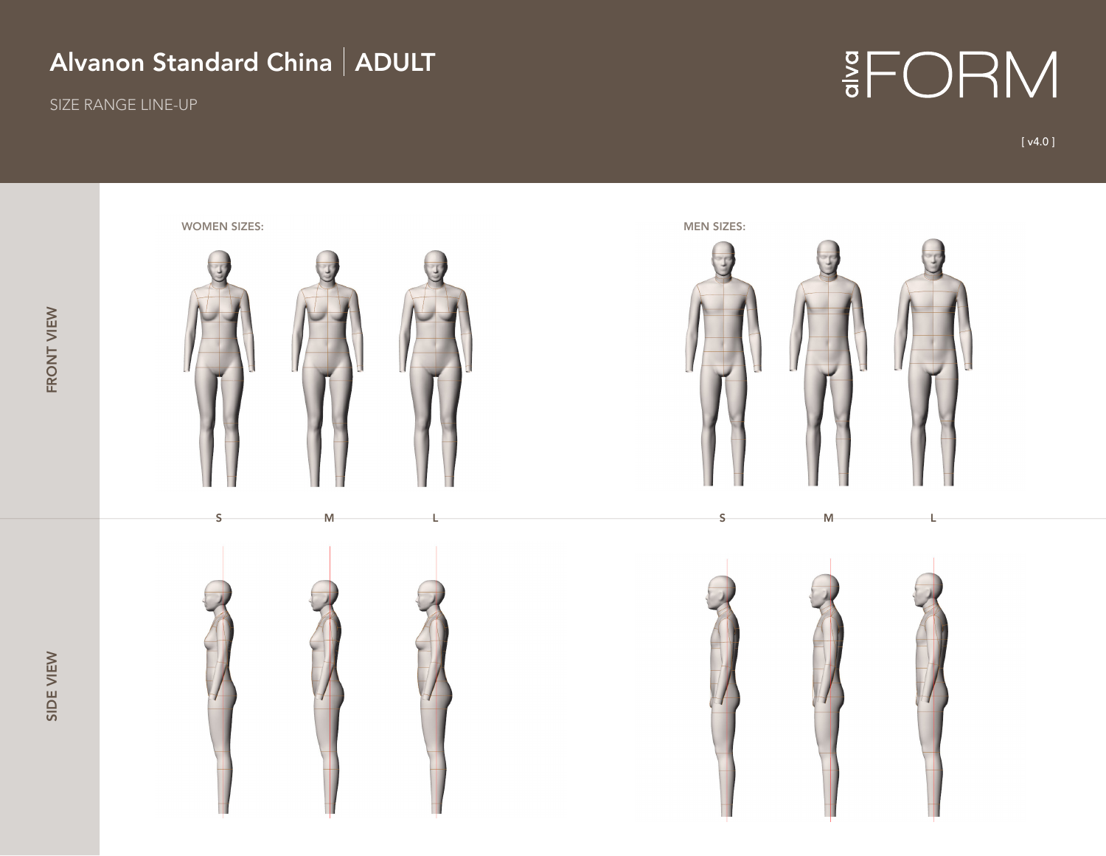SIZE RANGE LINE-UP

# $rac{8}{6}$  FORM

[ v4.0 ]